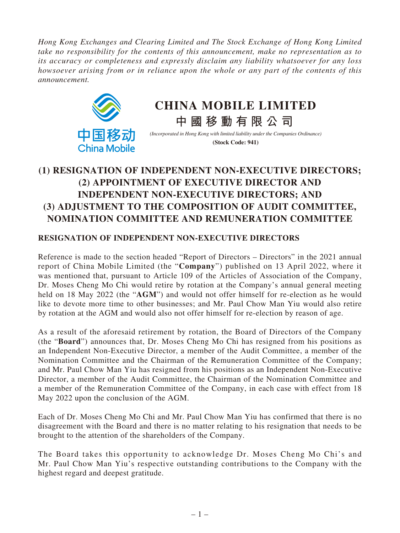*Hong Kong Exchanges and Clearing Limited and The Stock Exchange of Hong Kong Limited take no responsibility for the contents of this announcement, make no representation as to its accuracy or completeness and expressly disclaim any liability whatsoever for any loss howsoever arising from or in reliance upon the whole or any part of the contents of this announcement.*



# **CHINA MOBILE LIMITED**

**中國移動有限公司**

*(Incorporated in Hong Kong with limited liability under the Companies Ordinance)* **(Stock Code: 941)**

# **(1) RESIGNATION OF INDEPENDENT NON-EXECUTIVE DIRECTORS; (2) APPOINTMENT OF EXECUTIVE DIRECTOR AND INDEPENDENT NON-EXECUTIVE DIRECTORS; AND (3) ADJUSTMENT TO THE COMPOSITION OF AUDIT COMMITTEE, NOMINATION COMMITTEE AND REMUNERATION COMMITTEE**

## **RESIGNATION OF INDEPENDENT NON-EXECUTIVE DIRECTORS**

Reference is made to the section headed "Report of Directors – Directors" in the 2021 annual report of China Mobile Limited (the "**Company**") published on 13 April 2022, where it was mentioned that, pursuant to Article 109 of the Articles of Association of the Company, Dr. Moses Cheng Mo Chi would retire by rotation at the Company's annual general meeting held on 18 May 2022 (the "**AGM**") and would not offer himself for re-election as he would like to devote more time to other businesses; and Mr. Paul Chow Man Yiu would also retire by rotation at the AGM and would also not offer himself for re-election by reason of age.

As a result of the aforesaid retirement by rotation, the Board of Directors of the Company (the "**Board**") announces that, Dr. Moses Cheng Mo Chi has resigned from his positions as an Independent Non-Executive Director, a member of the Audit Committee, a member of the Nomination Committee and the Chairman of the Remuneration Committee of the Company; and Mr. Paul Chow Man Yiu has resigned from his positions as an Independent Non-Executive Director, a member of the Audit Committee, the Chairman of the Nomination Committee and a member of the Remuneration Committee of the Company, in each case with effect from 18 May 2022 upon the conclusion of the AGM.

Each of Dr. Moses Cheng Mo Chi and Mr. Paul Chow Man Yiu has confirmed that there is no disagreement with the Board and there is no matter relating to his resignation that needs to be brought to the attention of the shareholders of the Company.

The Board takes this opportunity to acknowledge Dr. Moses Cheng Mo Chi's and Mr. Paul Chow Man Yiu's respective outstanding contributions to the Company with the highest regard and deepest gratitude.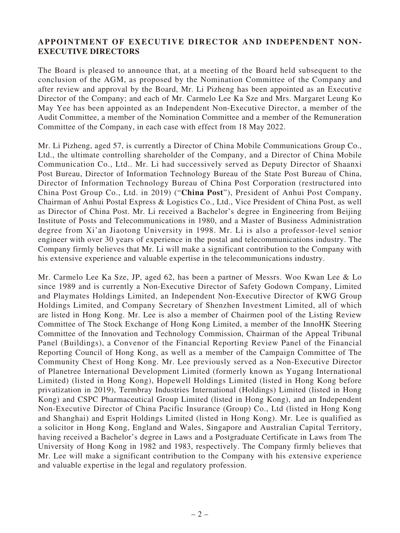### **APPOINTMENT OF EXECUTIVE DIRECTOR AND INDEPENDENT NON-EXECUTIVE DIRECTORS**

The Board is pleased to announce that, at a meeting of the Board held subsequent to the conclusion of the AGM, as proposed by the Nomination Committee of the Company and after review and approval by the Board, Mr. Li Pizheng has been appointed as an Executive Director of the Company; and each of Mr. Carmelo Lee Ka Sze and Mrs. Margaret Leung Ko May Yee has been appointed as an Independent Non-Executive Director, a member of the Audit Committee, a member of the Nomination Committee and a member of the Remuneration Committee of the Company, in each case with effect from 18 May 2022.

Mr. Li Pizheng, aged 57, is currently a Director of China Mobile Communications Group Co., Ltd., the ultimate controlling shareholder of the Company, and a Director of China Mobile Communication Co., Ltd.. Mr. Li had successively served as Deputy Director of Shaanxi Post Bureau, Director of Information Technology Bureau of the State Post Bureau of China, Director of Information Technology Bureau of China Post Corporation (restructured into China Post Group Co., Ltd. in 2019) ("**China Post**"), President of Anhui Post Company, Chairman of Anhui Postal Express & Logistics Co., Ltd., Vice President of China Post, as well as Director of China Post. Mr. Li received a Bachelor's degree in Engineering from Beijing Institute of Posts and Telecommunications in 1980, and a Master of Business Administration degree from Xi'an Jiaotong University in 1998. Mr. Li is also a professor-level senior engineer with over 30 years of experience in the postal and telecommunications industry. The Company firmly believes that Mr. Li will make a significant contribution to the Company with his extensive experience and valuable expertise in the telecommunications industry.

Mr. Carmelo Lee Ka Sze, JP, aged 62, has been a partner of Messrs. Woo Kwan Lee & Lo since 1989 and is currently a Non-Executive Director of Safety Godown Company, Limited and Playmates Holdings Limited, an Independent Non-Executive Director of KWG Group Holdings Limited, and Company Secretary of Shenzhen Investment Limited, all of which are listed in Hong Kong. Mr. Lee is also a member of Chairmen pool of the Listing Review Committee of The Stock Exchange of Hong Kong Limited, a member of the InnoHK Steering Committee of the Innovation and Technology Commission, Chairman of the Appeal Tribunal Panel (Buildings), a Convenor of the Financial Reporting Review Panel of the Financial Reporting Council of Hong Kong, as well as a member of the Campaign Committee of The Community Chest of Hong Kong. Mr. Lee previously served as a Non-Executive Director of Planetree International Development Limited (formerly known as Yugang International Limited) (listed in Hong Kong), Hopewell Holdings Limited (listed in Hong Kong before privatization in 2019), Termbray Industries International (Holdings) Limited (listed in Hong Kong) and CSPC Pharmaceutical Group Limited (listed in Hong Kong), and an Independent Non-Executive Director of China Pacific Insurance (Group) Co., Ltd (listed in Hong Kong and Shanghai) and Esprit Holdings Limited (listed in Hong Kong). Mr. Lee is qualified as a solicitor in Hong Kong, England and Wales, Singapore and Australian Capital Territory, having received a Bachelor's degree in Laws and a Postgraduate Certificate in Laws from The University of Hong Kong in 1982 and 1983, respectively. The Company firmly believes that Mr. Lee will make a significant contribution to the Company with his extensive experience and valuable expertise in the legal and regulatory profession.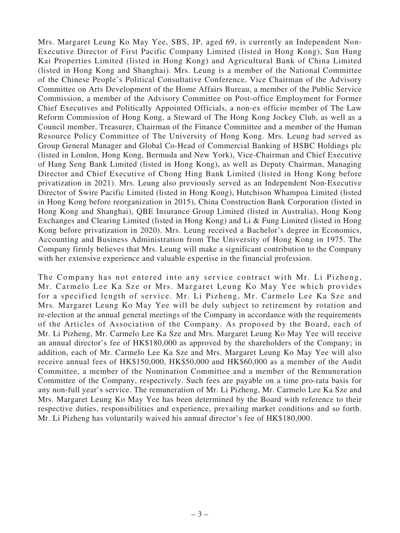Mrs. Margaret Leung Ko May Yee, SBS, JP, aged 69, is currently an Independent Non-Executive Director of First Pacific Company Limited (listed in Hong Kong), Sun Hung Kai Properties Limited (listed in Hong Kong) and Agricultural Bank of China Limited (listed in Hong Kong and Shanghai). Mrs. Leung is a member of the National Committee of the Chinese People's Political Consultative Conference, Vice Chairman of the Advisory Committee on Arts Development of the Home Affairs Bureau, a member of the Public Service Commission, a member of the Advisory Committee on Post-office Employment for Former Chief Executives and Politically Appointed Officials, a non-ex officio member of The Law Reform Commission of Hong Kong, a Steward of The Hong Kong Jockey Club, as well as a Council member, Treasurer, Chairman of the Finance Committee and a member of the Human Resource Policy Committee of The University of Hong Kong. Mrs. Leung had served as Group General Manager and Global Co-Head of Commercial Banking of HSBC Holdings plc (listed in London, Hong Kong, Bermuda and New York), Vice-Chairman and Chief Executive of Hang Seng Bank Limited (listed in Hong Kong), as well as Deputy Chairman, Managing Director and Chief Executive of Chong Hing Bank Limited (listed in Hong Kong before privatization in 2021). Mrs. Leung also previously served as an Independent Non-Executive Director of Swire Pacific Limited (listed in Hong Kong), Hutchison Whampoa Limited (listed in Hong Kong before reorganization in 2015), China Construction Bank Corporation (listed in Hong Kong and Shanghai), QBE Insurance Group Limited (listed in Australia), Hong Kong Exchanges and Clearing Limited (listed in Hong Kong) and Li & Fung Limited (listed in Hong Kong before privatization in 2020). Mrs. Leung received a Bachelor's degree in Economics, Accounting and Business Administration from The University of Hong Kong in 1975. The Company firmly believes that Mrs. Leung will make a significant contribution to the Company with her extensive experience and valuable expertise in the financial profession.

The Company has not entered into any service contract with Mr. Li Pizheng, Mr. Carmelo Lee Ka Sze or Mrs. Margaret Leung Ko May Yee which provides for a specified length of service. Mr. Li Pizheng, Mr. Carmelo Lee Ka Sze and Mrs. Margaret Leung Ko May Yee will be duly subject to retirement by rotation and re-election at the annual general meetings of the Company in accordance with the requirements of the Articles of Association of the Company. As proposed by the Board, each of Mr. Li Pizheng, Mr. Carmelo Lee Ka Sze and Mrs. Margaret Leung Ko May Yee will receive an annual director's fee of HK\$180,000 as approved by the shareholders of the Company; in addition, each of Mr. Carmelo Lee Ka Sze and Mrs. Margaret Leung Ko May Yee will also receive annual fees of HK\$150,000, HK\$50,000 and HK\$60,000 as a member of the Audit Committee, a member of the Nomination Committee and a member of the Remuneration Committee of the Company, respectively. Such fees are payable on a time pro-rata basis for any non-full year's service. The remuneration of Mr. Li Pizheng, Mr. Carmelo Lee Ka Sze and Mrs. Margaret Leung Ko May Yee has been determined by the Board with reference to their respective duties, responsibilities and experience, prevailing market conditions and so forth. Mr. Li Pizheng has voluntarily waived his annual director's fee of HK\$180,000.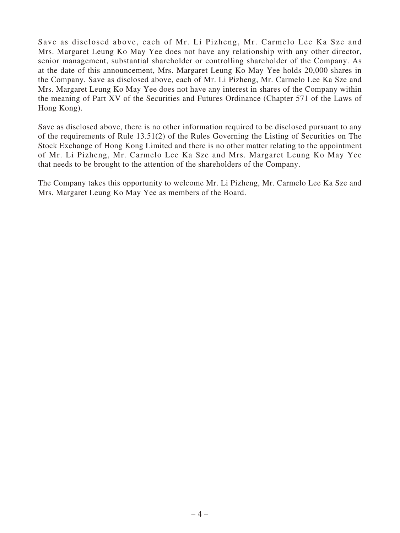Save as disclosed above, each of Mr. Li Pizheng, Mr. Carmelo Lee Ka Sze and Mrs. Margaret Leung Ko May Yee does not have any relationship with any other director, senior management, substantial shareholder or controlling shareholder of the Company. As at the date of this announcement, Mrs. Margaret Leung Ko May Yee holds 20,000 shares in the Company. Save as disclosed above, each of Mr. Li Pizheng, Mr. Carmelo Lee Ka Sze and Mrs. Margaret Leung Ko May Yee does not have any interest in shares of the Company within the meaning of Part XV of the Securities and Futures Ordinance (Chapter 571 of the Laws of Hong Kong).

Save as disclosed above, there is no other information required to be disclosed pursuant to any of the requirements of Rule 13.51(2) of the Rules Governing the Listing of Securities on The Stock Exchange of Hong Kong Limited and there is no other matter relating to the appointment of Mr. Li Pizheng, Mr. Carmelo Lee Ka Sze and Mrs. Margaret Leung Ko May Yee that needs to be brought to the attention of the shareholders of the Company.

The Company takes this opportunity to welcome Mr. Li Pizheng, Mr. Carmelo Lee Ka Sze and Mrs. Margaret Leung Ko May Yee as members of the Board.